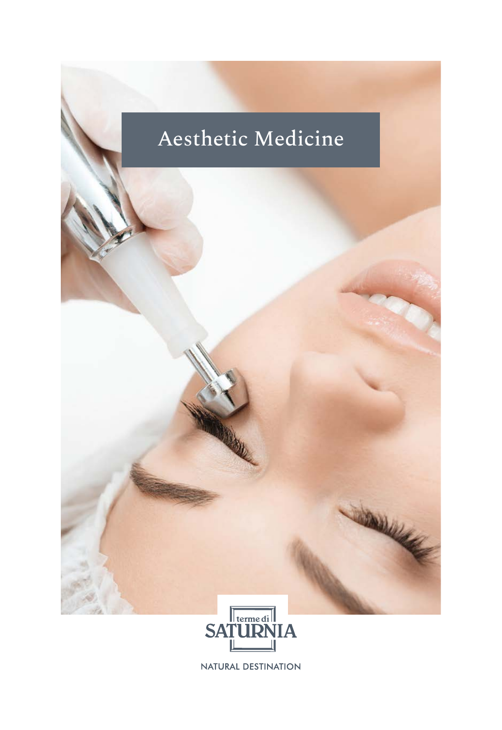

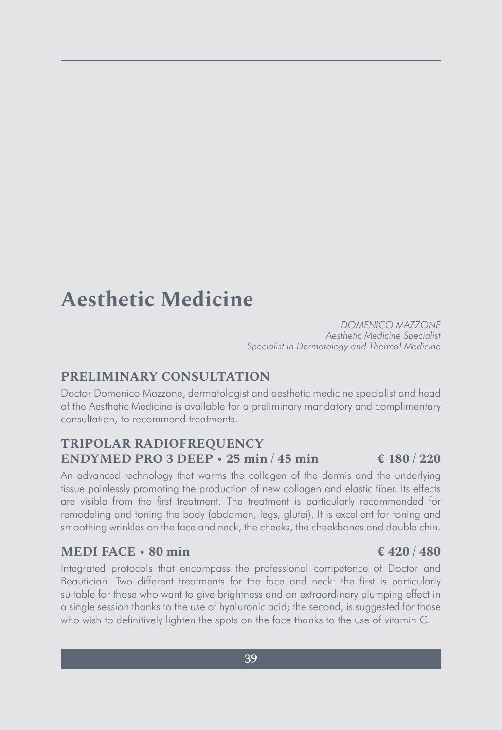# **Aesthetic Medicine**

*DOMENICO MAZZONE Aesthetic Medicine Specialist Specialist in Dermatology and Thermal Medicine*

## **PRELIMINARY CONSULTATION**

Doctor Domenico Mazzone, dermatologist and aesthetic medicine specialist and head of the Aesthetic Medicine is available for a preliminary mandatory and complimentary consultation, to recommend treatments.

### **TRIPOLAR RADIOFREQUENCY ENDYMED PRO 3 DEEP • 25 min / 45 min € 180 / 220**

An advanced technology that warms the collagen of the dermis and the underlying tissue painlessly promoting the production of new collagen and elastic fiber. Its effects are visible from the first treatment. The treatment is particularly recommended for remodeling and toning the body (abdomen, legs, glutei). It is excellent for toning and smoothing wrinkles on the face and neck, the cheeks, the cheekbones and double chin.

### **MEDI FACE • 80 min € 420 / 480**

Integrated protocols that encompass the professional competence of Doctor and Beautician. Two different treatments for the face and neck: the first is particularly suitable for those who want to give brightness and an extraordinary plumping effect in a single session thanks to the use of hyaluronic acid; the second, is suggested for those who wish to definitively lighten the spots on the face thanks to the use of vitamin C.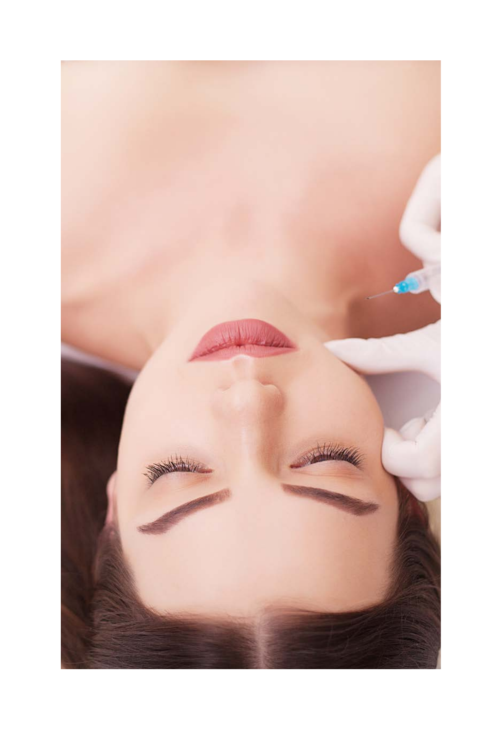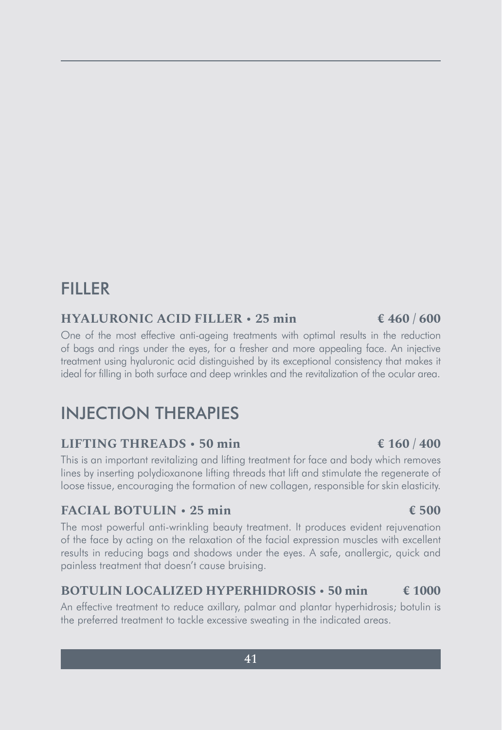# **FILLER**

## **HYALURONIC ACID FILLER • 25 min € 460 / 600**

One of the most effective anti-ageing treatments with optimal results in the reduction of bags and rings under the eyes, for a fresher and more appealing face. An injective treatment using hyaluronic acid distinguished by its exceptional consistency that makes it ideal for filling in both surface and deep wrinkles and the revitalization of the ocular area.

# INJECTION THERAPIES

## **LIFTING THREADS • 50 min € 160 / 400**

This is an important revitalizing and lifting treatment for face and body which removes lines by inserting polydioxanone lifting threads that lift and stimulate the regenerate of loose tissue, encouraging the formation of new collagen, responsible for skin elasticity.

## **FACIAL BOTULIN • 25 min € 500**

The most powerful anti-wrinkling beauty treatment. It produces evident rejuvenation of the face by acting on the relaxation of the facial expression muscles with excellent results in reducing bags and shadows under the eyes. A safe, anallergic, quick and painless treatment that doesn't cause bruising.

## **BOTULIN LOCALIZED HYPERHIDROSIS • 50 min € 1000**

An effective treatment to reduce axillary, palmar and plantar hyperhidrosis; botulin is the preferred treatment to tackle excessive sweating in the indicated areas.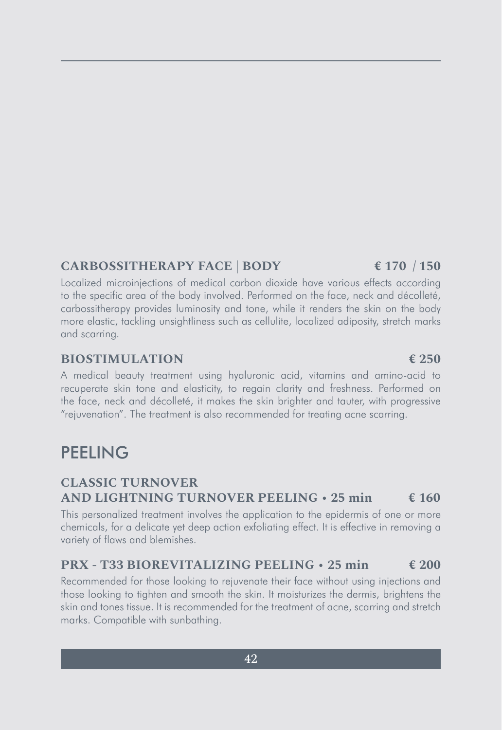# **CARBOSSITHERAPY FACE | BODY € 170 / 150**

Localized microinjections of medical carbon dioxide have various effects according to the specific area of the body involved. Performed on the face, neck and décolleté, carbossitherapy provides luminosity and tone, while it renders the skin on the body more elastic, tackling unsightliness such as cellulite, localized adiposity, stretch marks and scarring.

# **BIOSTIMULATION € 250**

A medical beauty treatment using hyaluronic acid, vitamins and amino-acid to recuperate skin tone and elasticity, to regain clarity and freshness. Performed on the face, neck and décolleté, it makes the skin brighter and tauter, with progressive "rejuvenation". The treatment is also recommended for treating acne scarring.

# PEELING

## **CLASSIC TURNOVER AND LIGHTNING TURNOVER PEELING • 25 min € 160**

This personalized treatment involves the application to the epidermis of one or more chemicals, for a delicate yet deep action exfoliating effect. It is effective in removing a variety of flaws and blemishes.

# **PRX - T33 BIOREVITALIZING PEELING • 25 min € 200**

Recommended for those looking to rejuvenate their face without using injections and those looking to tighten and smooth the skin. It moisturizes the dermis, brightens the skin and tones tissue. It is recommended for the treatment of acne, scarring and stretch marks. Compatible with sunbathing.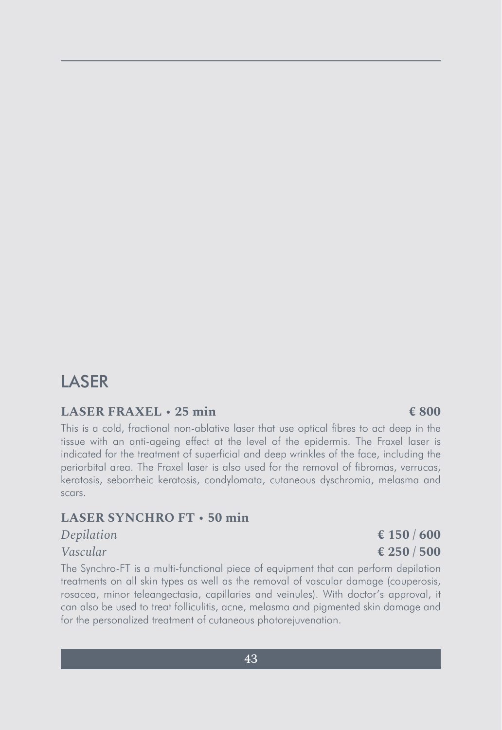# LASER

## **LASER FRAXEL • 25 min € 800**

This is a cold, fractional non-ablative laser that use optical fibres to act deep in the tissue with an anti-ageing effect at the level of the epidermis. The Fraxel laser is indicated for the treatment of superficial and deep wrinkles of the face, including the periorbital area. The Fraxel laser is also used for the removal of fibromas, verrucas, keratosis, seborrheic keratosis, condylomata, cutaneous dyschromia, melasma and scars.

## **LASER SYNCHRO FT • 50 min**

## *Depilation* **€ 150 / 600**

## *Vascular* **€ 250 / 500**

The Synchro-FT is a multi-functional piece of equipment that can perform depilation treatments on all skin types as well as the removal of vascular damage (couperosis, rosacea, minor teleangectasia, capillaries and veinules). With doctor's approval, it can also be used to treat folliculitis, acne, melasma and pigmented skin damage and for the personalized treatment of cutaneous photorejuvenation.